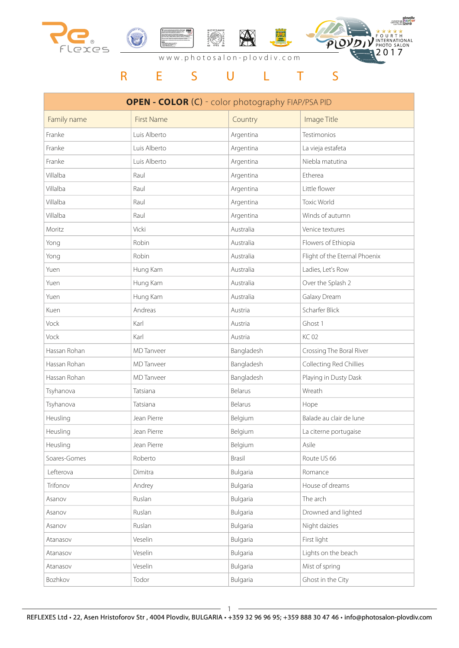



EUROPEAN Ploydiv

### www.photosalon-plovdiv.com

| <b>OPEN - COLOR (C) - color photography FIAP/PSA PID</b> |                   |            |                               |  |
|----------------------------------------------------------|-------------------|------------|-------------------------------|--|
| Family name                                              | <b>First Name</b> | Country    | Image Title                   |  |
| Franke                                                   | Luis Alberto      | Argentina  | Testimonios                   |  |
| Franke                                                   | Luis Alberto      | Argentina  | La vieja estafeta             |  |
| Franke                                                   | Luis Alberto      | Argentina  | Niebla matutina               |  |
| Villalba                                                 | Raul              | Argentina  | Etherea                       |  |
| Villalba                                                 | Raul              | Argentina  | Little flower                 |  |
| Villalba                                                 | Raul              | Argentina  | <b>Toxic World</b>            |  |
| Villalba                                                 | Raul              | Argentina  | Winds of autumn               |  |
| Moritz                                                   | Vicki             | Australia  | Venice textures               |  |
| Yong                                                     | Robin             | Australia  | Flowers of Ethiopia           |  |
| Yong                                                     | Robin             | Australia  | Flight of the Eternal Phoenix |  |
| Yuen                                                     | Hung Kam          | Australia  | Ladies, Let's Row             |  |
| Yuen                                                     | Hung Kam          | Australia  | Over the Splash 2             |  |
| Yuen                                                     | Hung Kam          | Australia  | Galaxy Dream                  |  |
| Kuen                                                     | Andreas           | Austria    | Scharfer Blick                |  |
| Vock                                                     | Karl              | Austria    | Ghost 1                       |  |
| Vock                                                     | Karl              | Austria    | <b>KC02</b>                   |  |
| Hassan Rohan                                             | <b>MD</b> Tanveer | Bangladesh | Crossing The Boral River      |  |
| Hassan Rohan                                             | <b>MD</b> Tanveer | Bangladesh | Collecting Red Chillies       |  |
| Hassan Rohan                                             | <b>MD</b> Tanveer | Bangladesh | Playing in Dusty Dask         |  |
| Tsyhanova                                                | Tatsiana          | Belarus    | Wreath                        |  |
| Tsyhanova                                                | Tatsiana          | Belarus    | Hope                          |  |
| Heusling                                                 | Jean Pierre       | Belgium    | Balade au clair de lune       |  |
| Heusling                                                 | Jean Pierre       | Belgium    | La citerne portugaise         |  |
| Heusling                                                 | Jean Pierre       | Belgium    | Asile                         |  |
| Soares-Gomes                                             | Roberto           | Brasil     | Route US 66                   |  |
| Lefterova                                                | Dimitra           | Bulgaria   | Romance                       |  |
| Trifonov                                                 | Andrey            | Bulgaria   | House of dreams               |  |
| Asanov                                                   | Ruslan            | Bulgaria   | The arch                      |  |
| Asanov                                                   | Ruslan            | Bulgaria   | Drowned and lighted           |  |
| Asanov                                                   | Ruslan            | Bulgaria   | Night daizies                 |  |
| Atanasov                                                 | Veselin           | Bulgaria   | First light                   |  |
| Atanasov                                                 | Veselin           | Bulgaria   | Lights on the beach           |  |
| Atanasov                                                 | Veselin           | Bulgaria   | Mist of spring                |  |
| Bozhkov                                                  | Todor             | Bulgaria   | Ghost in the City             |  |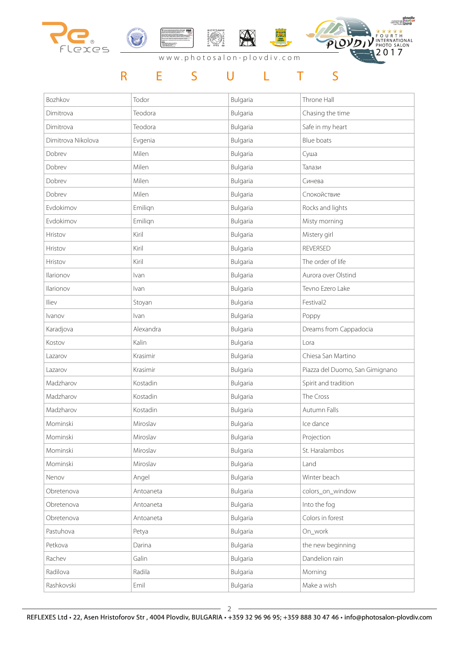







| Bozhkov            | Todor     | Bulgaria | Throne Hall                     |
|--------------------|-----------|----------|---------------------------------|
| Dimitrova          | Teodora   | Bulgaria | Chasing the time                |
| Dimitrova          | Teodora   | Bulgaria | Safe in my heart                |
| Dimitrova Nikolova | Evgenia   | Bulgaria | Blue boats                      |
| Dobrev             | Milen     | Bulgaria | Суша                            |
| Dobrev             | Milen     | Bulgaria | Талази                          |
| Dobrev             | Milen     | Bulgaria | Синева                          |
| Dobrev             | Milen     | Bulgaria | Спокойствие                     |
| Evdokimov          | Emilign   | Bulgaria | Rocks and lights                |
| Evdokimov          | Emilign   | Bulgaria | Misty morning                   |
| Hristov            | Kiril     | Bulgaria | Mistery girl                    |
| Hristov            | Kiril     | Bulgaria | <b>REVEASED</b>                 |
| Hristov            | Kiril     | Bulgaria | The order of life               |
| Ilarionov          | Ivan      | Bulgaria | Aurora over Olstind             |
| Ilarionov          | Ivan      | Bulgaria | Tevno Ezero Lake                |
| Iliev              | Stoyan    | Bulgaria | Festival2                       |
| Ivanov             | Ivan      | Bulgaria | Poppy                           |
| Karadjova          | Alexandra | Bulgaria | Dreams from Cappadocia          |
| Kostov             | Kalin     | Bulgaria | Lora                            |
| Lazarov            | Krasimir  | Bulgaria | Chiesa San Martino              |
| Lazarov            | Krasimir  | Bulgaria | Piazza del Duomo, San Gimignano |
| Madzharov          | Kostadin  | Bulgaria | Spirit and tradition            |
| Madzharov          | Kostadin  | Bulgaria | The Cross                       |
| Madzharov          | Kostadin  | Bulgaria | Autumn Falls                    |
| Mominski           | Miroslav  | Bulgaria | Ice dance                       |
| Mominski           | Miroslav  | Bulgaria | Projection                      |
| Mominski           | Miroslav  | Bulgaria | St. Haralambos                  |
| Mominski           | Miroslav  | Bulgaria | Land                            |
| Nenov              | Angel     | Bulgaria | Winter beach                    |
| Obretenova         | Antoaneta | Bulgaria | colors_on_window                |
| Obretenova         | Antoaneta | Bulgaria | Into the fog                    |
| Obretenova         | Antoaneta | Bulgaria | Colors in forest                |
| Pastuhova          | Petya     | Bulgaria | On_work                         |
| Petkova            | Darina    | Bulgaria | the new beginning               |
| Rachev             | Galin     | Bulgaria | Dandelion rain                  |
| Radilova           | Radila    | Bulgaria | Morning                         |
| Rashkovski         | Emil      | Bulgaria | Make a wish                     |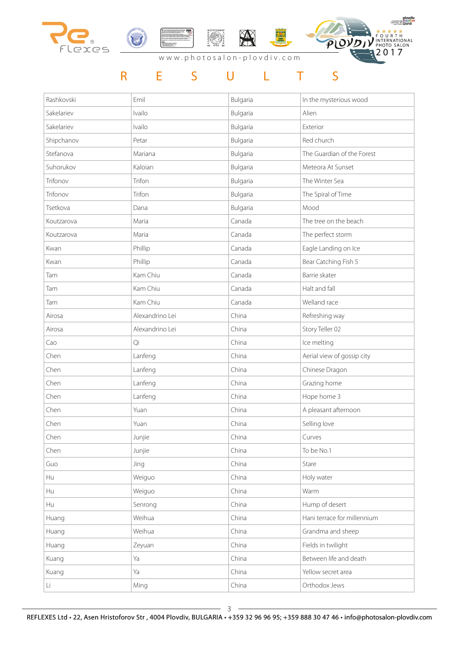







| Rashkovski | Emil            | Bulgaria | In the mysterious wood      |
|------------|-----------------|----------|-----------------------------|
| Sakelariev | Ivailo          | Bulgaria | Alien                       |
| Sakelariev | Ivailo          | Bulgaria | Exterior                    |
| Shipchanov | Petar           | Bulgaria | Red church                  |
| Stefanova  | Mariana         | Bulgaria | The Guardian of the Forest  |
| Suhorukov  | Kaloian         | Bulgaria | Meteora At Sunset           |
| Trifonov   | Trifon          | Bulgaria | The Winter Sea              |
| Trifonov   | Trifon          | Bulgaria | The Spiral of Time          |
| Tsetkova   | Dana            | Bulgaria | Mood                        |
| Koutzarova | Maria           | Canada   | The tree on the beach       |
| Koutzarova | Maria           | Canada   | The perfect storm           |
| Kwan       | Phillip         | Canada   | Eagle Landing on Ice        |
| Kwan       | Phillip         | Canada   | Bear Catching Fish 5        |
| Tam        | Kam Chiu        | Canada   | Barrie skater               |
| Tam        | Kam Chiu        | Canada   | Halt and fall               |
| Tam        | Kam Chiu        | Canada   | Welland race                |
| Airosa     | Alexandrino Lei | China    | Refreshing way              |
| Airosa     | Alexandrino Lei | China    | Story Teller 02             |
| Cao        | Qi              | China    | Ice melting                 |
| Chen       | Lanfeng         | China    | Aerial view of gossip city  |
| Chen       | Lanfeng         | China    | Chinese Dragon              |
| Chen       | Lanfeng         | China    | Grazing home                |
| Chen       | Lanfeng         | China    | Hope home 3                 |
| Chen       | Yuan            | China    | A pleasant afternoon        |
| Chen       | Yuan            | China    | Selling love                |
| Chen       | Junjie          | China    | Curves                      |
| Chen       | Junjie          | China    | To be No.1                  |
| Guo        | Jing            | China    | Stare                       |
| Hu         | Weiguo          | China    | Holy water                  |
| Hu         | Weiguo          | China    | Warm                        |
| Hu         | Senrong         | China    | Hump of desert              |
| Huang      | Weihua          | China    | Hani terrace for millennium |
| Huang      | Weihua          | China    | Grandma and sheep           |
| Huang      | Zeyuan          | China    | Fields in twilight          |
| Kuang      | Ya              | China    | Between life and death      |
| Kuang      | Ya              | China    | Yellow secret area          |
| Li         | Ming            | China    | Orthodox Jews               |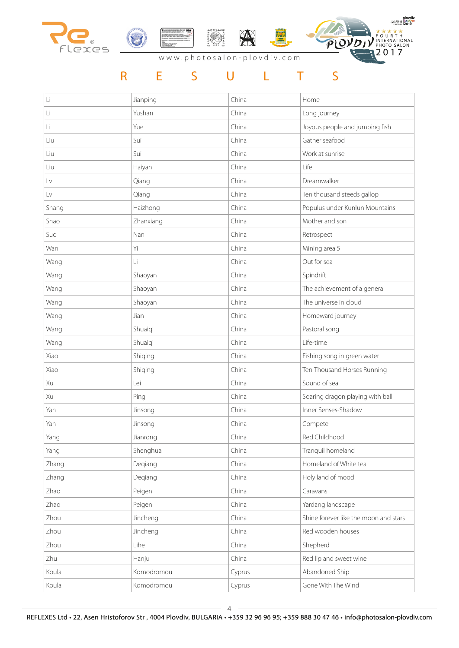





#### www.photosalon-plovdiv.com

| Li    | Jianping   | China  | Home                                  |
|-------|------------|--------|---------------------------------------|
| Li    | Yushan     | China  | Long journey                          |
| Li    | Yue        | China  | Joyous people and jumping fish        |
| Liu   | Sui        | China  | Gather seafood                        |
| Liu   | Sui        | China  | Work at sunrise                       |
| Liu   | Haiyan     | China  | Life                                  |
| Lv    | Qiang      | China  | Dreamwalker                           |
| Lv    | Qiang      | China  | Ten thousand steeds gallop            |
| Shang | Haizhong   | China  | Populus under Kunlun Mountains        |
| Shao  | Zhanxiang  | China  | Mother and son                        |
| Suo   | Nan        | China  | Retrospect                            |
| Wan   | Yi         | China  | Mining area 5                         |
| Wang  | Li         | China  | Out for sea                           |
| Wang  | Shaoyan    | China  | Spindrift                             |
| Wang  | Shaoyan    | China  | The achievement of a general          |
| Wang  | Shaoyan    | China  | The universe in cloud                 |
| Wang  | Jian       | China  | Homeward journey                      |
| Wang  | Shuaiqi    | China  | Pastoral song                         |
| Wang  | Shuaiqi    | China  | Life-time                             |
| Xiao  | Shiqing    | China  | Fishing song in green water           |
| Xiao  | Shiqing    | China  | Ten-Thousand Horses Running           |
| Xu    | Lei        | China  | Sound of sea                          |
| Xu    | Ping       | China  | Soaring dragon playing with ball      |
| Yan   | Jinsong    | China  | Inner Senses-Shadow                   |
| Yan   | Jinsong    | China  | Compete                               |
| Yang  | Jianrong   | China  | Red Childhood                         |
| Yang  | Shenghua   | China  | Tranquil homeland                     |
| Zhang | Degiang    | China  | Homeland of White tea                 |
| Zhang | Degiang    | China  | Holy land of mood                     |
| Zhao  | Peigen     | China  | Caravans                              |
| Zhao  | Peigen     | China  | Yardang landscape                     |
| Zhou  | Jincheng   | China  | Shine forever like the moon and stars |
| Zhou  | Jincheng   | China  | Red wooden houses                     |
| Zhou  | Lihe       | China  | Shepherd                              |
| Zhu   | Hanju      | China  | Red lip and sweet wine                |
| Koula | Komodromou | Cyprus | Abandoned Ship                        |
| Koula | Komodromou | Cyprus | Gone With The Wind                    |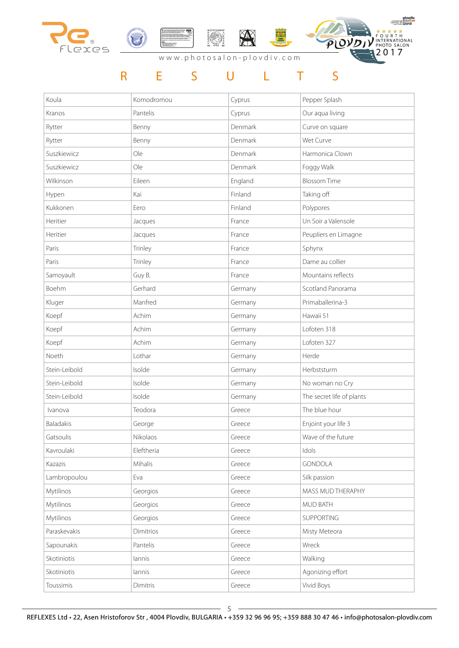





| Koula         | Komodromou | Cyprus  | Pepper Splash             |
|---------------|------------|---------|---------------------------|
| Kranos        | Pantelis   | Cyprus  | Our aqua living           |
| Rytter        | Benny      | Denmark | Curve on square           |
| Rytter        | Benny      | Denmark | Wet Curve                 |
| Suszkiewicz   | Ole        | Denmark | Harmonica Clown           |
| Suszkiewicz   | Ole        | Denmark | Foggy Walk                |
| Wilkinson     | Eileen     | England | <b>Blossom Time</b>       |
| Hypen         | Kai        | Finland | Taking off                |
| Kukkonen      | Eero       | Finland | Polypores                 |
| Heritier      | Jacques    | France  | Un Soir a Valensole       |
| Heritier      | Jacques    | France  | Peupliers en Limagne      |
| Paris         | Trinley    | France  | Sphynx                    |
| Paris         | Trinley    | France  | Dame au collier           |
| Samoyault     | Guy B.     | France  | Mountains reflects        |
| Boehm         | Gerhard    | Germany | Scotland Panorama         |
| Kluger        | Manfred    | Germany | Primaballerina-3          |
| Koepf         | Achim      | Germany | Hawaii 51                 |
| Koepf         | Achim      | Germany | Lofoten 318               |
| Koepf         | Achim      | Germany | Lofoten 327               |
| Noeth         | Lothar     | Germany | Herde                     |
| Stein-Leibold | Isolde     | Germany | Herbststurm               |
| Stein-Leibold | Isolde     | Germany | No woman no Cry           |
| Stein-Leibold | Isolde     | Germany | The secret life of plants |
| Ivanova       | Teodora    | Greece  | The blue hour             |
| Baladakis     | George     | Greece  | Enjoint your life 3       |
| Gatsoulis     | Nikolaos   | Greece  | Wave of the future        |
| Kavroulaki    | Eleftheria | Greece  | Idols                     |
| Kazazis       | Mihalis    | Greece  | <b>GONDOLA</b>            |
| Lambropoulou  | Eva        | Greece  | Silk passion              |
| Mytilinos     | Georgios   | Greece  | MASS MUD THERAPHY         |
| Mytilinos     | Georgios   | Greece  | MUD BATH                  |
| Mytilinos     | Georgios   | Greece  | SUPPORTING                |
| Paraskevakis  | Dimitrios  | Greece  | Misty Meteora             |
| Sapounakis    | Pantelis   | Greece  | Wreck                     |
| Skotiniotis   | lannis     | Greece  | Walking                   |
| Skotiniotis   | lannis     | Greece  | Agonizing effort          |
| Toussimis     | Dimitris   | Greece  | Vivid Boys                |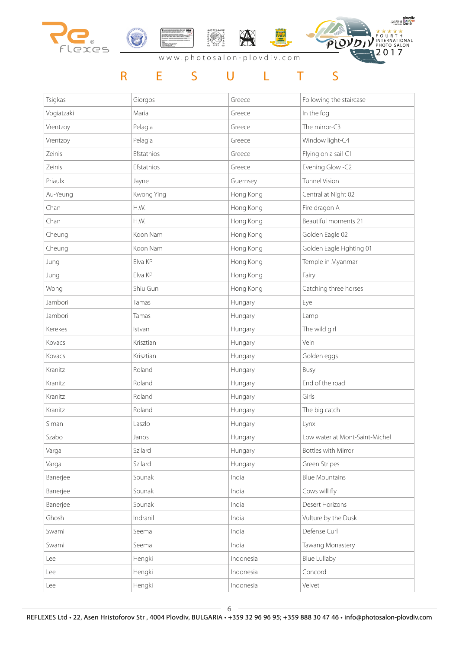







#### www.photosalon-plovdiv.com

| Tsigkas    | Giorgos    | Greece    | Following the staircase        |
|------------|------------|-----------|--------------------------------|
| Vogiatzaki | Maria      | Greece    | In the fog                     |
| Vrentzoy   | Pelagia    | Greece    | The mirror-C3                  |
| Vrentzoy   | Pelagia    | Greece    | Window light-C4                |
| Zeinis     | Efstathios | Greece    | Flying on a sail-C1            |
| Zeinis     | Efstathios | Greece    | Evening Glow -C2               |
| Priaulx    | Jayne      | Guernsey  | <b>Tunnel Vision</b>           |
| Au-Yeung   | Kwong Ying | Hong Kong | Central at Night 02            |
| Chan       | H.W.       | Hong Kong | Fire dragon A                  |
| Chan       | H.W.       | Hong Kong | Beautiful moments 21           |
| Cheung     | Koon Nam   | Hong Kong | Golden Eagle 02                |
| Cheung     | Koon Nam   | Hong Kong | Golden Eagle Fighting 01       |
| Jung       | Elva KP    | Hong Kong | Temple in Myanmar              |
| Jung       | Elva KP    | Hong Kong | Fairy                          |
| Wong       | Shiu Gun   | Hong Kong | Catching three horses          |
| Jambori    | Tamas      | Hungary   | Eye                            |
| Jambori    | Tamas      | Hungary   | Lamp                           |
| Kerekes    | Istvan     | Hungary   | The wild girl                  |
| Kovacs     | Krisztian  | Hungary   | Vein                           |
| Kovacs     | Krisztian  | Hungary   | Golden eggs                    |
| Kranitz    | Roland     | Hungary   | Busy                           |
| Kranitz    | Roland     | Hungary   | End of the road                |
| Kranitz    | Roland     | Hungary   | Girls                          |
| Kranitz    | Roland     | Hungary   | The big catch                  |
| Siman      | Laszlo     | Hungary   | Lynx                           |
| Szabo      | Janos      | Hungary   | Low water at Mont-Saint-Michel |
| Varga      | Szilard    | Hungary   | <b>Bottles with Mirror</b>     |
| Varga      | Szilard    | Hungary   | Green Stripes                  |
| Banerjee   | Sounak     | India     | <b>Blue Mountains</b>          |
| Banerjee   | Sounak     | India     | Cows will fly                  |
| Banerjee   | Sounak     | India     | Desert Horizons                |
| Ghosh      | Indranil   | India     | Vulture by the Dusk            |
| Swami      | Seema      | India     | Defense Curl                   |
| Swami      | Seema      | India     | Tawang Monastery               |
| Lee        | Hengki     | Indonesia | <b>Blue Lullaby</b>            |
| Lee        | Hengki     | Indonesia | Concord                        |
| Lee        | Hengki     | Indonesia | Velvet                         |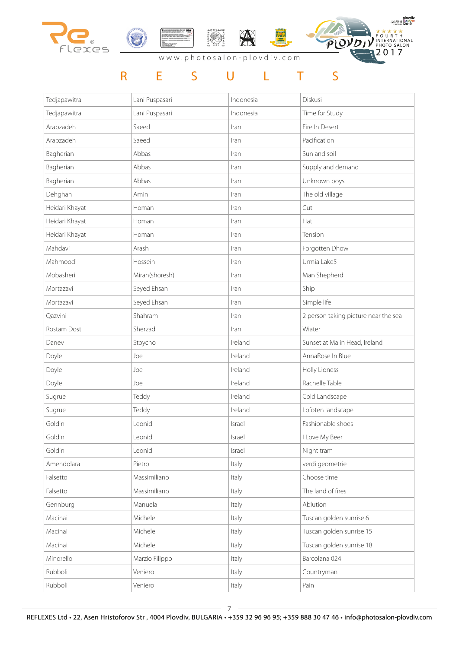







www.photosalon-plovdiv.com

| Tedjapawitra   | Lani Puspasari | Indonesia | Diskusi                              |
|----------------|----------------|-----------|--------------------------------------|
| Tedjapawitra   | Lani Puspasari | Indonesia | Time for Study                       |
| Arabzadeh      | Saeed          | Iran      | Fire In Desert                       |
| Arabzadeh      | Saeed          | Iran      | Pacification                         |
| Bagherian      | Abbas          | Iran      | Sun and soil                         |
| Bagherian      | Abbas          | Iran      | Supply and demand                    |
| Bagherian      | Abbas          | Iran      | Unknown boys                         |
| Dehghan        | Amin           | Iran      | The old village                      |
| Heidari Khayat | Homan          | Iran      | Cut                                  |
| Heidari Khayat | Homan          | Iran      | Hat                                  |
| Heidari Khayat | Homan          | Iran      | Tension                              |
| Mahdavi        | Arash          | Iran      | Forgotten Dhow                       |
| Mahmoodi       | Hossein        | Iran      | Urmia Lake5                          |
| Mobasheri      | Miran(shoresh) | Iran      | Man Shepherd                         |
| Mortazavi      | Seyed Ehsan    | Iran      | Ship                                 |
| Mortazavi      | Seyed Ehsan    | Iran      | Simple life                          |
| Qazvini        | Shahram        | Iran      | 2 person taking picture near the sea |
| Rostam Dost    | Sherzad        | Iran      | Wiater                               |
| Danev          | Stoycho        | Ireland   | Sunset at Malin Head, Ireland        |
| Doyle          | Joe            | Ireland   | AnnaRose In Blue                     |
| Doyle          | Joe            | Ireland   | Holly Lioness                        |
| Doyle          | Joe            | Ireland   | Rachelle Table                       |
| Sugrue         | Teddy          | Ireland   | Cold Landscape                       |
| Sugrue         | Teddy          | Ireland   | Lofoten landscape                    |
| Goldin         | Leonid         | Israel    | Fashionable shoes                    |
| Goldin         | Leonid         | Israel    | I Love My Beer                       |
| Goldin         | Leonid         | Israel    | Night tram                           |
| Amendolara     | Pietro         | Italy     | verdi geometrie                      |
| Falsetto       | Massimiliano   | Italy     | Choose time                          |
| Falsetto       | Massimiliano   | Italy     | The land of fires                    |
| Gennburg       | Manuela        | Italy     | Ablution                             |
| Macinai        | Michele        | Italy     | Tuscan golden sunrise 6              |
| Macinai        | Michele        | Italy     | Tuscan golden sunrise 15             |
| Macinai        | Michele        | Italy     | Tuscan golden sunrise 18             |
| Minorello      | Marzio Filippo | Italy     | Barcolana 024                        |
| Rubboli        | Veniero        | Italy     | Countryman                           |
| Rubboli        | Veniero        | Italy     | Pain                                 |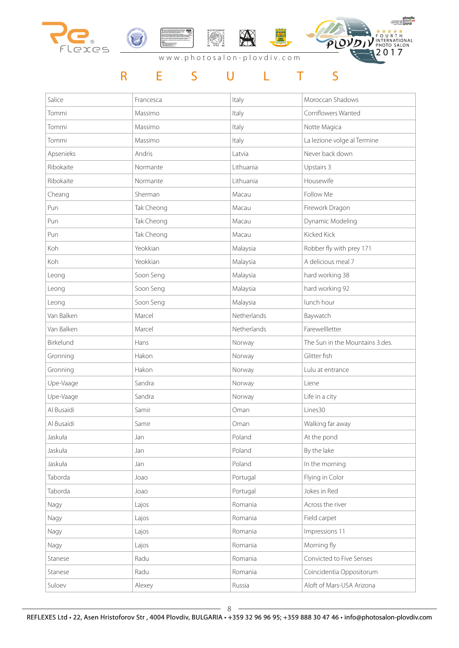





| Salice     | Francesca  | Italy       | Moroccan Shadows                |
|------------|------------|-------------|---------------------------------|
| Tommi      | Massimo    | Italy       | Cornflowers Wanted              |
| Tommi      | Massimo    | Italy       | Notte Magica                    |
| Tommi      | Massimo    | Italy       | La lezione volge al Termine     |
| Apsenieks  | Andris     | Latvia      | Never back down                 |
| Ribokaite  | Normante   | Lithuania   | Upstairs 3                      |
| Ribokaite  | Normante   | Lithuania   | Housewife                       |
| Cheang     | Sherman    | Macau       | Follow Me                       |
| Pun        | Tak Cheong | Macau       | Firework Dragon                 |
| Pun        | Tak Cheong | Macau       | Dynamic Modeling                |
| Pun        | Tak Cheong | Macau       | <b>Kicked Kick</b>              |
| Koh        | Yeokkian   | Malaysia    | Robber fly with prey 171        |
| Koh        | Yeokkian   | Malaysia    | A delicious meal 7              |
| Leong      | Soon Seng  | Malaysia    | hard working 38                 |
| Leong      | Soon Seng  | Malaysia    | hard working 92                 |
| Leong      | Soon Seng  | Malaysia    | lunch hour                      |
| Van Balken | Marcel     | Netherlands | Baywatch                        |
| Van Balken | Marcel     | Netherlands | Farewellletter                  |
| Birkelund  | Hans       | Norway      | The Sun in the Mountains 3.des. |
| Gronning   | Hakon      | Norway      | Glitter fish                    |
| Gronning   | Hakon      | Norway      | Lulu at entrance                |
| Upe-Vaage  | Sandra     | Norway      | Liene                           |
| Upe-Vaage  | Sandra     | Norway      | Life in a city                  |
| Al Busaidi | Samir      | Oman        | Lines30                         |
| Al Busaidi | Samir      | Oman        | Walking far away                |
| Jaskuła    | Jan        | Poland      | At the pond                     |
| Jaskuła    | Jan        | Poland      | By the lake                     |
| Jaskuła    | Jan        | Poland      | In the morning                  |
| Taborda    | Joao       | Portugal    | Flying in Color                 |
| Taborda    | Joao       | Portugal    | Jokes in Red                    |
| Nagy       | Lajos      | Romania     | Across the river                |
| Nagy       | Lajos      | Romania     | Field carpet                    |
| Nagy       | Lajos      | Romania     | Impressions 11                  |
| Nagy       | Lajos      | Romania     | Morning fly                     |
| Stanese    | Radu       | Romania     | Convicted to Five Senses        |
| Stanese    | Radu       | Romania     | Coincidentia Oppositorum        |
| Suloev     | Alexey     | Russia      | Aloft of Mars-USA Arizona       |